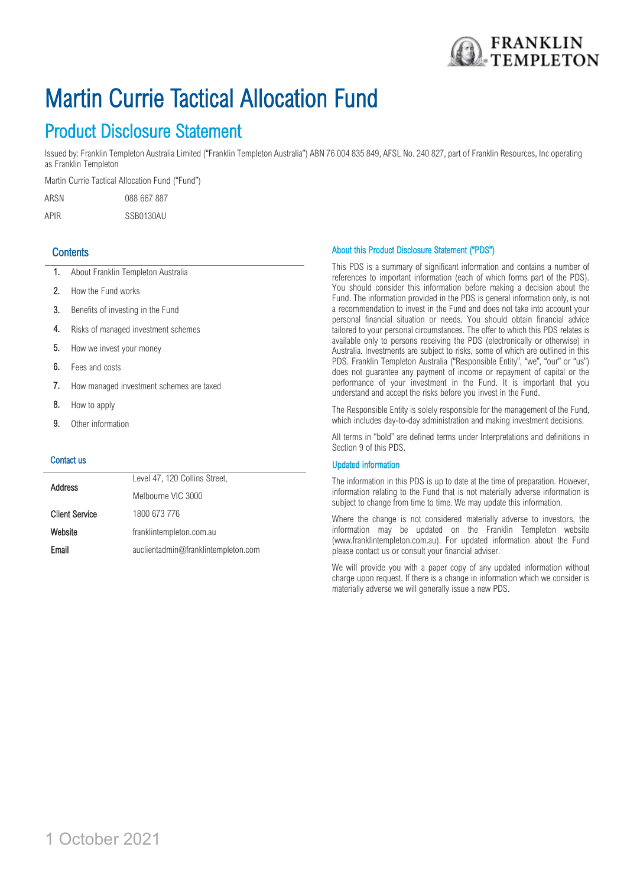

# Martin Currie Tactical Allocation Fund

## Product Disclosure Statement

Issued by: Franklin Templeton Australia Limited ("Franklin Templeton Australia") ABN 76 004 835 849, AFSL No. 240 827, part of Franklin Resources, Inc operating as Franklin Templeton

Martin Currie Tactical Allocation Fund ("Fund")

ARSN 088 667 887

APIR SSB0130AU

## **Contents**

- 1. About Franklin Templeton Australia
- 2. How the Fund works
- 3. Benefits of investing in the Fund
- 4. Risks of managed investment schemes
- 5. How we invest your money
- 6. Fees and costs
- 7. How managed investment schemes are taxed
- 8. How to apply
- 9. Other information

#### Contact us

| <b>Address</b>        | Level 47, 120 Collins Street,       |
|-----------------------|-------------------------------------|
|                       | Melbourne VIC 3000                  |
| <b>Client Service</b> | 1800 673 776                        |
| Website               | franklintempleton.com.au            |
| Email                 | auclientadmin@franklintempleton.com |

#### About this Product Disclosure Statement ("PDS")

This PDS is a summary of significant information and contains a number of references to important information (each of which forms part of the PDS). You should consider this information before making a decision about the Fund. The information provided in the PDS is general information only, is not a recommendation to invest in the Fund and does not take into account your personal financial situation or needs. You should obtain financial advice tailored to your personal circumstances. The offer to which this PDS relates is available only to persons receiving the PDS (electronically or otherwise) in Australia. Investments are subject to risks, some of which are outlined in this PDS. Franklin Templeton Australia ("Responsible Entity", "we", "our" or "us") does not guarantee any payment of income or repayment of capital or the performance of your investment in the Fund. It is important that you understand and accept the risks before you invest in the Fund.

The Responsible Entity is solely responsible for the management of the Fund, which includes day-to-day administration and making investment decisions.

All terms in "bold" are defined terms under Interpretations and definitions in Section 9 of this PDS.

#### Updated information

The information in this PDS is up to date at the time of preparation. However, information relating to the Fund that is not materially adverse information is subject to change from time to time. We may update this information.

Where the change is not considered materially adverse to investors, the information may be updated on the Franklin Templeton website (www.franklintempleton.com.au). For updated information about the Fund please contact us or consult your financial adviser.

We will provide you with a paper copy of any updated information without charge upon request. If there is a change in information which we consider is materially adverse we will generally issue a new PDS.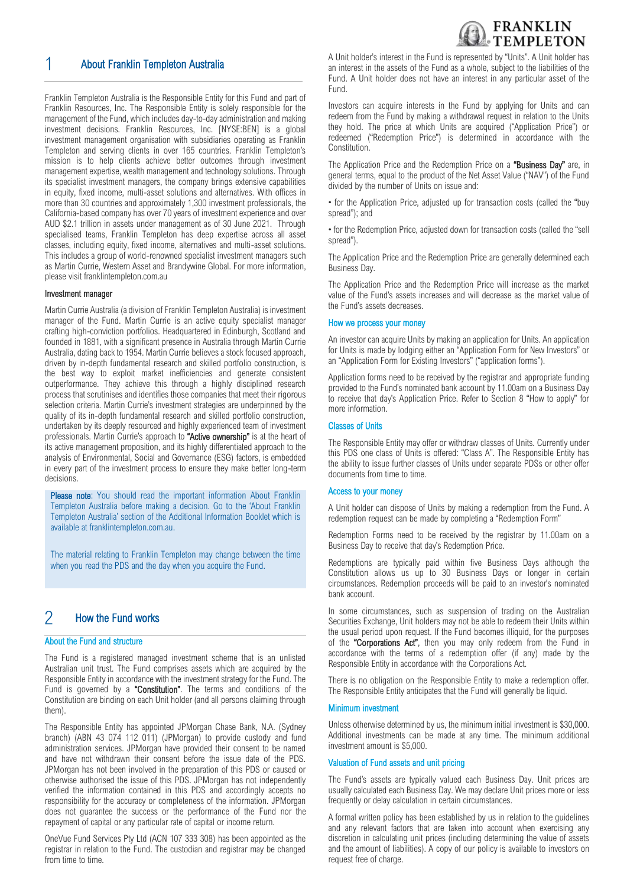

## 1 About Franklin Templeton Australia

Franklin Templeton Australia is the Responsible Entity for this Fund and part of Franklin Resources, Inc. The Responsible Entity is solely responsible for the management of the Fund, which includes day-to-day administration and making investment decisions. Franklin Resources, Inc. [NYSE:BEN] is a global investment management organisation with subsidiaries operating as Franklin Templeton and serving clients in over 165 countries. Franklin Templeton's mission is to help clients achieve better outcomes through investment management expertise, wealth management and technology solutions. Through its specialist investment managers, the company brings extensive capabilities in equity, fixed income, multi-asset solutions and alternatives. With offices in more than 30 countries and approximately 1,300 investment professionals, the California-based company has over 70 years of investment experience and over AUD \$2.1 trillion in assets under management as of 30 June 2021. Through specialised teams, Franklin Templeton has deep expertise across all asset classes, including equity, fixed income, alternatives and multi-asset solutions. This includes a group of world-renowned specialist investment managers such as Martin Currie, Western Asset and Brandywine Global. For more information, please visit franklintempleton.com.au

#### Investment manager

Martin Currie Australia (a division of Franklin Templeton Australia) is investment manager of the Fund. Martin Currie is an active equity specialist manager crafting high-conviction portfolios. Headquartered in Edinburgh, Scotland and founded in 1881, with a significant presence in Australia through Martin Currie Australia, dating back to 1954. Martin Currie believes a stock focused approach, driven by in-depth fundamental research and skilled portfolio construction, is the best way to exploit market inefficiencies and generate consistent outperformance. They achieve this through a highly disciplined research process that scrutinises and identifies those companies that meet their rigorous selection criteria. Martin Currie's investment strategies are underpinned by the quality of its in-depth fundamental research and skilled portfolio construction, undertaken by its deeply resourced and highly experienced team of investment professionals. Martin Currie's approach to "Active ownership" is at the heart of its active management proposition, and its highly differentiated approach to the analysis of Environmental, Social and Governance (ESG) factors, is embedded in every part of the investment process to ensure they make better long-term decisions.

Please note: You should read the important information About Franklin Templeton Australia before making a decision. Go to the 'About Franklin Templeton Australia' section of the Additional Information Booklet which is available at [franklintempleton.com.au.](http://www.leggmason.com.au/en/index.aspx)

The material relating to Franklin Templeton may change between the time when you read the PDS and the day when you acquire the Fund.

## 2 How the Fund works

#### About the Fund and structure

The Fund is a registered managed investment scheme that is an unlisted Australian unit trust. The Fund comprises assets which are acquired by the Responsible Entity in accordance with the investment strategy for the Fund. The Fund is governed by a "Constitution". The terms and conditions of the Constitution are binding on each Unit holder (and all persons claiming through them).

The Responsible Entity has appointed JPMorgan Chase Bank, N.A. (Sydney branch) (ABN 43 074 112 011) (JPMorgan) to provide custody and fund administration services. JPMorgan have provided their consent to be named and have not withdrawn their consent before the issue date of the PDS. JPMorgan has not been involved in the preparation of this PDS or caused or otherwise authorised the issue of this PDS. JPMorgan has not independently verified the information contained in this PDS and accordingly accepts no responsibility for the accuracy or completeness of the information. JPMorgan does not guarantee the success or the performance of the Fund nor the repayment of capital or any particular rate of capital or income return.

OneVue Fund Services Pty Ltd (ACN 107 333 308) has been appointed as the registrar in relation to the Fund. The custodian and registrar may be changed from time to time.

A Unit holder's interest in the Fund is represented by "Units". A Unit holder has an interest in the assets of the Fund as a whole, subject to the liabilities of the Fund. A Unit holder does not have an interest in any particular asset of the Fund.

Investors can acquire interests in the Fund by applying for Units and can redeem from the Fund by making a withdrawal request in relation to the Units they hold. The price at which Units are acquired ("Application Price") or redeemed ("Redemption Price") is determined in accordance with the Constitution.

The Application Price and the Redemption Price on a "Business Day" are, in general terms, equal to the product of the Net Asset Value ("NAV") of the Fund divided by the number of Units on issue and:

• for the Application Price, adjusted up for transaction costs (called the "buy spread"); and

• for the Redemption Price, adjusted down for transaction costs (called the "sell spread").

The Application Price and the Redemption Price are generally determined each Business Day.

The Application Price and the Redemption Price will increase as the market value of the Fund's assets increases and will decrease as the market value of the Fund's assets decreases.

#### How we process your money

An investor can acquire Units by making an application for Units. An application for Units is made by lodging either an "Application Form for New Investors" or an "Application Form for Existing Investors" ("application forms").

Application forms need to be received by the registrar and appropriate funding provided to the Fund's nominated bank account by 11.00am on a Business Day to receive that day's Application Price. Refer to Section 8 "How to apply" for more information.

#### Classes of Units

The Responsible Entity may offer or withdraw classes of Units. Currently under this PDS one class of Units is offered: "Class A". The Responsible Entity has the ability to issue further classes of Units under separate PDSs or other offer documents from time to time.

#### Access to your money

A Unit holder can dispose of Units by making a redemption from the Fund. A redemption request can be made by completing a "Redemption Form"

Redemption Forms need to be received by the registrar by 11.00am on a Business Day to receive that day's Redemption Price.

Redemptions are typically paid within five Business Days although the Constitution allows us up to 30 Business Days or longer in certain circumstances. Redemption proceeds will be paid to an investor's nominated bank account.

In some circumstances, such as suspension of trading on the Australian Securities Exchange, Unit holders may not be able to redeem their Units within the usual period upon request. If the Fund becomes illiquid, for the purposes of the "Corporations Act", then you may only redeem from the Fund in accordance with the terms of a redemption offer (if any) made by the Responsible Entity in accordance with the Corporations Act.

There is no obligation on the Responsible Entity to make a redemption offer. The Responsible Entity anticipates that the Fund will generally be liquid.

#### Minimum investment

Unless otherwise determined by us, the minimum initial investment is \$30,000. Additional investments can be made at any time. The minimum additional investment amount is \$5,000.

#### Valuation of Fund assets and unit pricing

The Fund's assets are typically valued each Business Day. Unit prices are usually calculated each Business Day. We may declare Unit prices more or less frequently or delay calculation in certain circumstances.

A formal written policy has been established by us in relation to the guidelines and any relevant factors that are taken into account when exercising any discretion in calculating unit prices (including determining the value of assets and the amount of liabilities). A copy of our policy is available to investors on request free of charge.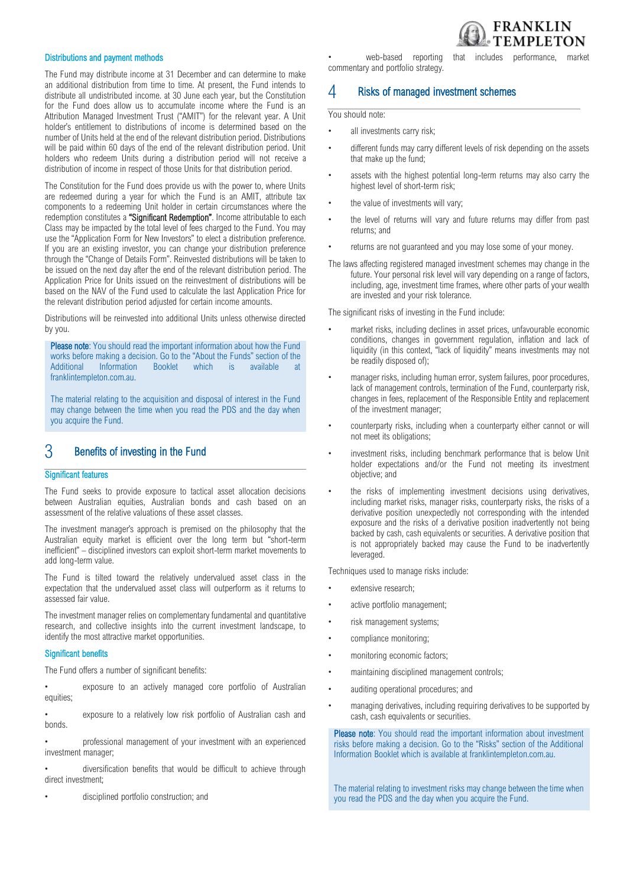#### Distributions and payment methods

The Fund may distribute income at 31 December and can determine to make an additional distribution from time to time. At present, the Fund intends to distribute all undistributed income. at 30 June each year, but the Constitution for the Fund does allow us to accumulate income where the Fund is an Attribution Managed Investment Trust ("AMIT") for the relevant year. A Unit holder's entitlement to distributions of income is determined based on the number of Units held at the end of the relevant distribution period. Distributions will be paid within 60 days of the end of the relevant distribution period. Unit holders who redeem Units during a distribution period will not receive a distribution of income in respect of those Units for that distribution period.

The Constitution for the Fund does provide us with the power to, where Units are redeemed during a year for which the Fund is an AMIT, attribute tax components to a redeeming Unit holder in certain circumstances where the redemption constitutes a "Significant Redemption". Income attributable to each Class may be impacted by the total level of fees charged to the Fund. You may use the "Application Form for New Investors" to elect a distribution preference. If you are an existing investor, you can change your distribution preference through the "Change of Details Form". Reinvested distributions will be taken to be issued on the next day after the end of the relevant distribution period. The Application Price for Units issued on the reinvestment of distributions will be based on the NAV of the Fund used to calculate the last Application Price for the relevant distribution period adjusted for certain income amounts.

Distributions will be reinvested into additional Units unless otherwise directed by you.

Please note: You should read the important information about how the Fund works before making a decision. Go to the "About the Funds" section of the Additional Information Booklet which is available at franklintempleton.com.au.

The material relating to the acquisition and disposal of interest in the Fund may change between the time when you read the PDS and the day when you acquire the Fund.

## 3 Benefits of investing in the Fund

#### Significant features

The Fund seeks to provide exposure to tactical asset allocation decisions between Australian equities, Australian bonds and cash based on an assessment of the relative valuations of these asset classes.

The investment manager's approach is premised on the philosophy that the Australian equity market is efficient over the long term but "short-term inefficient" – disciplined investors can exploit short-term market movements to add long-term value.

The Fund is tilted toward the relatively undervalued asset class in the expectation that the undervalued asset class will outperform as it returns to assessed fair value.

The investment manager relies on complementary fundamental and quantitative research, and collective insights into the current investment landscape, to identify the most attractive market opportunities.

#### Significant benefits

The Fund offers a number of significant benefits:

exposure to an actively managed core portfolio of Australian equities;

exposure to a relatively low risk portfolio of Australian cash and bonds.

• professional management of your investment with an experienced investment manager;

• diversification benefits that would be difficult to achieve through direct investment;

• disciplined portfolio construction; and

web-based reporting that includes performance, market commentary and portfolio strategy.

#### 4 Risks of managed investment schemes

You should note:

- all investments carry risk;
- different funds may carry different levels of risk depending on the assets that make up the fund;
- assets with the highest potential long-term returns may also carry the highest level of short-term risk;
- the value of investments will vary;
- the level of returns will vary and future returns may differ from past returns; and
- returns are not quaranteed and you may lose some of your money.
- The laws affecting registered managed investment schemes may change in the future. Your personal risk level will vary depending on a range of factors, including, age, investment time frames, where other parts of your wealth are invested and your risk tolerance.

The significant risks of investing in the Fund include:

- market risks, including declines in asset prices, unfavourable economic conditions, changes in government regulation, inflation and lack of liquidity (in this context, "lack of liquidity" means investments may not be readily disposed of);
- manager risks, including human error, system failures, poor procedures, lack of management controls, termination of the Fund, counterparty risk, changes in fees, replacement of the Responsible Entity and replacement of the investment manager;
- counterparty risks, including when a counterparty either cannot or will not meet its obligations;
- investment risks, including benchmark performance that is below Unit holder expectations and/or the Fund not meeting its investment objective; and
- the risks of implementing investment decisions using derivatives, including market risks, manager risks, counterparty risks, the risks of a derivative position unexpectedly not corresponding with the intended exposure and the risks of a derivative position inadvertently not being backed by cash, cash equivalents or securities. A derivative position that is not appropriately backed may cause the Fund to be inadvertently leveraged.

Techniques used to manage risks include:

- extensive research;
- active portfolio management;
- risk management systems;
- compliance monitoring;
- monitoring economic factors;
- maintaining disciplined management controls;
- auditing operational procedures; and
- managing derivatives, including requiring derivatives to be supported by cash, cash equivalents or securities.

Please note: You should read the important information about investment risks before making a decision. Go to the "Risks" section of the Additional Information Booklet which is available at franklintempleton.com.au.

The material relating to investment risks may change between the time when you read the PDS and the day when you acquire the Fund.

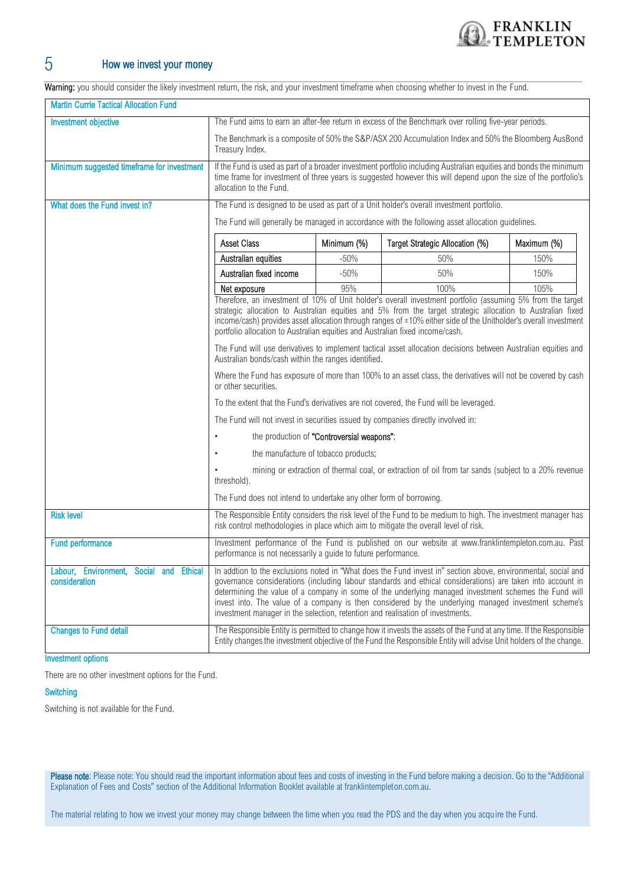

## 5 How we invest your money

Warning: you should consider the likely investment return, the risk, and your investment timeframe when choosing whether to invest in the Fund.

| <b>Martin Currie Tactical Allocation Fund</b>            |                                                                                                                                                                                                                                                                                                                                                                                                                                                                                                                                 |                                            |                                                                                                                                                                                                                                           |             |
|----------------------------------------------------------|---------------------------------------------------------------------------------------------------------------------------------------------------------------------------------------------------------------------------------------------------------------------------------------------------------------------------------------------------------------------------------------------------------------------------------------------------------------------------------------------------------------------------------|--------------------------------------------|-------------------------------------------------------------------------------------------------------------------------------------------------------------------------------------------------------------------------------------------|-------------|
| <b>Investment objective</b>                              | The Fund aims to earn an after-fee return in excess of the Benchmark over rolling five-year periods.                                                                                                                                                                                                                                                                                                                                                                                                                            |                                            |                                                                                                                                                                                                                                           |             |
|                                                          | Treasury Index.                                                                                                                                                                                                                                                                                                                                                                                                                                                                                                                 |                                            | The Benchmark is a composite of 50% the S&P/ASX 200 Accumulation Index and 50% the Bloomberg AusBond                                                                                                                                      |             |
| Minimum suggested timeframe for investment               | allocation to the Fund.                                                                                                                                                                                                                                                                                                                                                                                                                                                                                                         |                                            | If the Fund is used as part of a broader investment portfolio including Australian equities and bonds the minimum<br>time frame for investment of three years is suggested however this will depend upon the size of the portfolio's      |             |
| What does the Fund invest in?                            | The Fund is designed to be used as part of a Unit holder's overall investment portfolio.                                                                                                                                                                                                                                                                                                                                                                                                                                        |                                            |                                                                                                                                                                                                                                           |             |
|                                                          | The Fund will generally be managed in accordance with the following asset allocation guidelines.                                                                                                                                                                                                                                                                                                                                                                                                                                |                                            |                                                                                                                                                                                                                                           |             |
|                                                          | <b>Asset Class</b>                                                                                                                                                                                                                                                                                                                                                                                                                                                                                                              | Minimum (%)                                | Target Strategic Allocation (%)                                                                                                                                                                                                           | Maximum (%) |
|                                                          | Australian equities                                                                                                                                                                                                                                                                                                                                                                                                                                                                                                             | $-50%$                                     | 50%                                                                                                                                                                                                                                       | 150%        |
|                                                          | Australian fixed income                                                                                                                                                                                                                                                                                                                                                                                                                                                                                                         | $-50%$                                     | 50%                                                                                                                                                                                                                                       | 150%        |
|                                                          | 95%<br>100%<br>105%<br>Net exposure<br>Therefore, an investment of 10% of Unit holder's overall investment portfolio (assuming 5% from the target<br>strategic allocation to Australian equities and 5% from the target strategic allocation to Australian fixed<br>income/cash) provides asset allocation through ranges of ±10% either side of the Unitholder's overall investment<br>portfolio allocation to Australian equities and Australian fixed income/cash.                                                           |                                            |                                                                                                                                                                                                                                           |             |
|                                                          | The Fund will use derivatives to implement tactical asset allocation decisions between Australian equities and<br>Australian bonds/cash within the ranges identified.                                                                                                                                                                                                                                                                                                                                                           |                                            |                                                                                                                                                                                                                                           |             |
|                                                          | or other securities.                                                                                                                                                                                                                                                                                                                                                                                                                                                                                                            |                                            | Where the Fund has exposure of more than 100% to an asset class, the derivatives will not be covered by cash                                                                                                                              |             |
|                                                          |                                                                                                                                                                                                                                                                                                                                                                                                                                                                                                                                 |                                            | To the extent that the Fund's derivatives are not covered, the Fund will be leveraged.                                                                                                                                                    |             |
|                                                          | The Fund will not invest in securities issued by companies directly involved in:                                                                                                                                                                                                                                                                                                                                                                                                                                                |                                            |                                                                                                                                                                                                                                           |             |
|                                                          |                                                                                                                                                                                                                                                                                                                                                                                                                                                                                                                                 | the production of "Controversial weapons"; |                                                                                                                                                                                                                                           |             |
|                                                          | the manufacture of tobacco products;                                                                                                                                                                                                                                                                                                                                                                                                                                                                                            |                                            |                                                                                                                                                                                                                                           |             |
|                                                          | threshold).                                                                                                                                                                                                                                                                                                                                                                                                                                                                                                                     |                                            | mining or extraction of thermal coal, or extraction of oil from tar sands (subject to a 20% revenue                                                                                                                                       |             |
|                                                          | The Fund does not intend to undertake any other form of borrowing.                                                                                                                                                                                                                                                                                                                                                                                                                                                              |                                            |                                                                                                                                                                                                                                           |             |
| <b>Risk level</b>                                        |                                                                                                                                                                                                                                                                                                                                                                                                                                                                                                                                 |                                            | The Responsible Entity considers the risk level of the Fund to be medium to high. The investment manager has<br>risk control methodologies in place which aim to mitigate the overall level of risk.                                      |             |
| <b>Fund performance</b>                                  | performance is not necessarily a guide to future performance.                                                                                                                                                                                                                                                                                                                                                                                                                                                                   |                                            | Investment performance of the Fund is published on our website at www.franklintempleton.com.au. Past                                                                                                                                      |             |
| Labour, Environment, Social and Ethical<br>consideration | In addtion to the exclusions noted in "What does the Fund invest in" section above, environmental, social and<br>governance considerations (including labour standards and ethical considerations) are taken into account in<br>determining the value of a company in some of the underlying managed investment schemes the Fund will<br>invest into. The value of a company is then considered by the underlying managed investment scheme's<br>investment manager in the selection, retention and realisation of investments. |                                            |                                                                                                                                                                                                                                           |             |
| <b>Changes to Fund detail</b>                            |                                                                                                                                                                                                                                                                                                                                                                                                                                                                                                                                 |                                            | The Responsible Entity is permitted to change how it invests the assets of the Fund at any time. If the Responsible<br>Entity changes the investment objective of the Fund the Responsible Entity will advise Unit holders of the change. |             |

#### Investment options

There are no other investment options for the Fund.

#### **Switching**

Switching is not available for the Fund.

Please note: Please note: You should read the important information about fees and costs of investing in the Fund before making a decision. Go to the "Additional Explanation of Fees and Costs" section of the Additional Information Booklet available at franklintempleton.com.au.

The material relating to how we invest your money may change between the time when you read the PDS and the day when you acquire the Fund.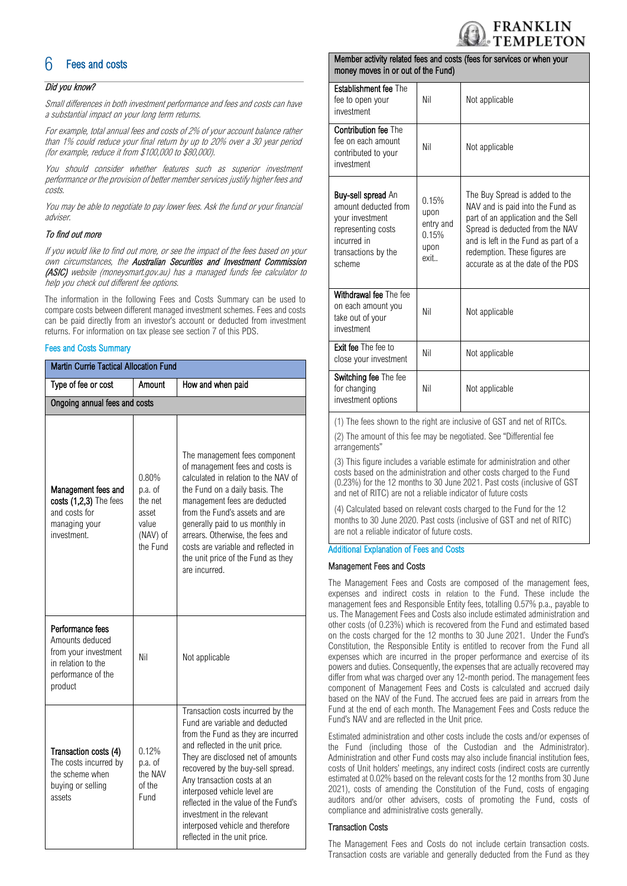

## **Fees and costs**

#### Did you know?

Small differences in both investment performance and fees and costs can have a substantial impact on your long term returns.

For example, total annual fees and costs of 2% of your account balance rather than 1% could reduce your final return by up to 20% over a 30 year period (for example, reduce it from \$100,000 to \$80,000).

You should consider whether features such as superior investment performance or the provision of better member services justify higher fees and costs.

You may be able to negotiate to pay lower fees. Ask the fund or your financial adviser.

#### To find out more

If you would like to find out more, or see the impact of the fees based on your own circumstances, the Australian Securities and Investment Commission (ASIC) website (moneysmart.gov.au) has a managed funds fee calculator to help you check out different fee options.

The information in the following Fees and Costs Summary can be used to compare costs between different managed investment schemes. Fees and costs can be paid directly from an investor's account or deducted from investment returns. For information on tax please see section 7 of this PDS.

#### Fees and Costs Summary

| <b>Martin Currie Tactical Allocation Fund</b>                                                                      |                                                                       |                                                                                                                                                                                                                                                                                                                                                                                                                                  |  |  |
|--------------------------------------------------------------------------------------------------------------------|-----------------------------------------------------------------------|----------------------------------------------------------------------------------------------------------------------------------------------------------------------------------------------------------------------------------------------------------------------------------------------------------------------------------------------------------------------------------------------------------------------------------|--|--|
| Type of fee or cost<br>Amount                                                                                      |                                                                       | How and when paid                                                                                                                                                                                                                                                                                                                                                                                                                |  |  |
| Ongoing annual fees and costs                                                                                      |                                                                       |                                                                                                                                                                                                                                                                                                                                                                                                                                  |  |  |
| Management fees and<br>costs (1,2,3) The fees<br>and costs for<br>managing your<br>investment.                     | 0.80%<br>p.a. of<br>the net<br>asset<br>value<br>(NAV) of<br>the Fund | The management fees component<br>of management fees and costs is<br>calculated in relation to the NAV of<br>the Fund on a daily basis. The<br>management fees are deducted<br>from the Fund's assets and are<br>generally paid to us monthly in<br>arrears. Otherwise, the fees and<br>costs are variable and reflected in<br>the unit price of the Fund as they<br>are incurred.                                                |  |  |
| Performance fees<br>Amounts deduced<br>from your investment<br>in relation to the<br>performance of the<br>product | Nil                                                                   | Not applicable                                                                                                                                                                                                                                                                                                                                                                                                                   |  |  |
| Transaction costs (4)<br>The costs incurred by<br>the scheme when<br>buying or selling<br>assets                   | 0.12%<br>p.a. of<br>the NAV<br>of the<br>Fund                         | Transaction costs incurred by the<br>Fund are variable and deducted<br>from the Fund as they are incurred<br>and reflected in the unit price.<br>They are disclosed net of amounts<br>recovered by the buy-sell spread.<br>Any transaction costs at an<br>interposed vehicle level are<br>reflected in the value of the Fund's<br>investment in the relevant<br>interposed vehicle and therefore<br>reflected in the unit price. |  |  |

#### Member activity related fees and costs (fees for services or when your money moves in or out of the Fund)

| <b>Establishment fee The</b><br>fee to open your<br>investment                                                                             | Nil                                                 | Not applicable                                                                                                                                                                                                                                              |
|--------------------------------------------------------------------------------------------------------------------------------------------|-----------------------------------------------------|-------------------------------------------------------------------------------------------------------------------------------------------------------------------------------------------------------------------------------------------------------------|
| <b>Contribution fee The</b><br>fee on each amount<br>contributed to your<br>investment                                                     | Nil                                                 | Not applicable                                                                                                                                                                                                                                              |
| <b>Buy-sell spread An</b><br>amount deducted from<br>your investment<br>representing costs<br>incurred in<br>transactions by the<br>scheme | 0.15%<br>upon<br>entry and<br>0.15%<br>upon<br>exit | The Buy Spread is added to the<br>NAV and is paid into the Fund as<br>part of an application and the Sell<br>Spread is deducted from the NAV<br>and is left in the Fund as part of a<br>redemption. These figures are<br>accurate as at the date of the PDS |
| Withdrawal fee The fee<br>on each amount you<br>take out of your<br>investment                                                             | Nil                                                 | Not applicable                                                                                                                                                                                                                                              |
| <b>Exit fee The fee to</b><br>close your investment                                                                                        | Nil                                                 | Not applicable                                                                                                                                                                                                                                              |
| Switching fee The fee<br>for changing<br>investment options                                                                                | Nil                                                 | Not applicable                                                                                                                                                                                                                                              |

(1) The fees shown to the right are inclusive of GST and net of RITCs.

(2) The amount of this fee may be negotiated. See "Differential fee arrangements"

(3) This figure includes a variable estimate for administration and other costs based on the administration and other costs charged to the Fund (0.23%) for the 12 months to 30 June 2021. Past costs (inclusive of GST and net of RITC) are not a reliable indicator of future costs

(4) Calculated based on relevant costs charged to the Fund for the 12 months to 30 June 2020. Past costs (inclusive of GST and net of RITC) are not a reliable indicator of future costs.

#### Additional Explanation of Fees and Costs

#### Management Fees and Costs

The Management Fees and Costs are composed of the management fees, expenses and indirect costs in relation to the Fund. These include the management fees and Responsible Entity fees, totalling 0.57% p.a., payable to us. The Management Fees and Costs also include estimated administration and other costs (of 0.23%) which is recovered from the Fund and estimated based on the costs charged for the 12 months to 30 June 2021. Under the Fund's Constitution, the Responsible Entity is entitled to recover from the Fund all expenses which are incurred in the proper performance and exercise of its powers and duties. Consequently, the expenses that are actually recovered may differ from what was charged over any 12-month period. The management fees component of Management Fees and Costs is calculated and accrued daily based on the NAV of the Fund. The accrued fees are paid in arrears from the Fund at the end of each month. The Management Fees and Costs reduce the Fund's NAV and are reflected in the Unit price.

Estimated administration and other costs include the costs and/or expenses of the Fund (including those of the Custodian and the Administrator). Administration and other Fund costs may also include financial institution fees, costs of Unit holders' meetings, any indirect costs (indirect costs are currently estimated at 0.02% based on the relevant costs for the 12 months from 30 June 2021), costs of amending the Constitution of the Fund, costs of engaging auditors and/or other advisers, costs of promoting the Fund, costs of compliance and administrative costs generally.

#### Transaction Costs

The Management Fees and Costs do not include certain transaction costs. Transaction costs are variable and generally deducted from the Fund as they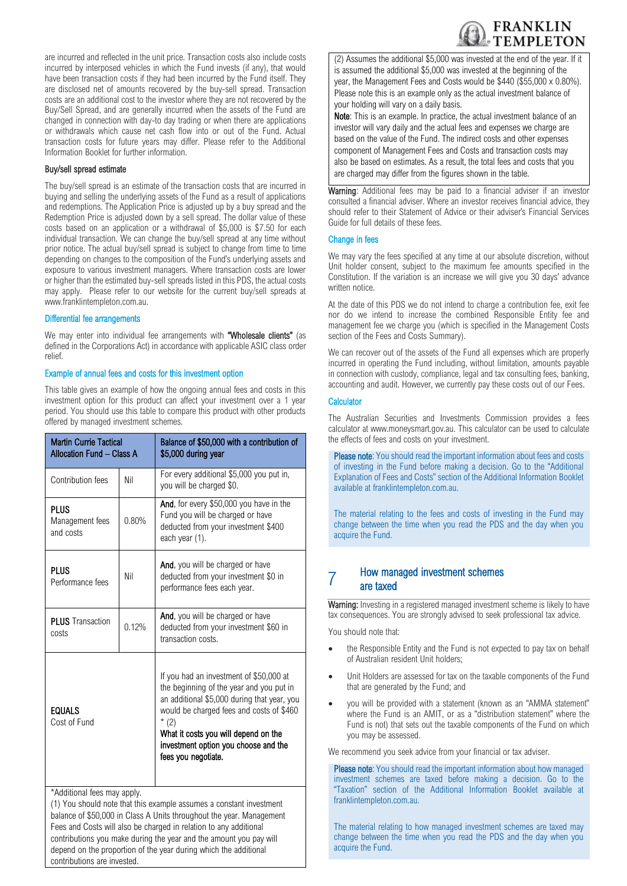

are incurred and reflected in the unit price. Transaction costs also include costs incurred by interposed vehicles in which the Fund invests (if any), that would have been transaction costs if they had been incurred by the Fund itself. They are disclosed net of amounts recovered by the buy-sell spread. Transaction costs are an additional cost to the investor where they are not recovered by the Buy/Sell Spread, and are generally incurred when the assets of the Fund are changed in connection with day-to day trading or when there are applications or withdrawals which cause net cash flow into or out of the Fund. Actual transaction costs for future years may differ. Please refer to the Additional Information Booklet for further information.

#### Buy/sell spread estimate

The buy/sell spread is an estimate of the transaction costs that are incurred in buying and selling the underlying assets of the Fund as a result of applications and redemptions. The Application Price is adjusted up by a buy spread and the Redemption Price is adjusted down by a sell spread. The dollar value of these costs based on an application or a withdrawal of \$5,000 is \$7.50 for each individual transaction. We can change the buy/sell spread at any time without prior notice. The actual buy/sell spread is subject to change from time to time depending on changes to the composition of the Fund's underlying assets and exposure to various investment managers. Where transaction costs are lower or higher than the estimated buy-sell spreads listed in this PDS, the actual costs may apply. Please refer to our website for the current buy/sell spreads at www.franklintempleton.com.au.

#### Differential fee arrangements

We may enter into individual fee arrangements with "Wholesale clients" (as defined in the Corporations Act) in accordance with applicable ASIC class order relief.

#### Example of annual fees and costs for this investment option

This table gives an example of how the ongoing annual fees and costs in this investment option for this product can affect your investment over a 1 year period. You should use this table to compare this product with other products offered by managed investment schemes.

| <b>Martin Currie Tactical</b><br>Allocation Fund - Class A |       | Balance of \$50,000 with a contribution of<br>\$5,000 during year                                                                                                                                                                                                                               |
|------------------------------------------------------------|-------|-------------------------------------------------------------------------------------------------------------------------------------------------------------------------------------------------------------------------------------------------------------------------------------------------|
| Contribution fees                                          | Nil   | For every additional \$5,000 you put in,<br>you will be charged \$0.                                                                                                                                                                                                                            |
| <b>PLUS</b><br>Management fees<br>and costs                | 0.80% | And, for every \$50,000 you have in the<br>Fund you will be charged or have<br>deducted from your investment \$400<br>each year (1).                                                                                                                                                            |
| <b>PLUS</b><br>Performance fees                            | Nil   | And, you will be charged or have<br>deducted from your investment \$0 in<br>performance fees each year.                                                                                                                                                                                         |
| <b>PLUS</b> Transaction<br>costs                           | 0.12% | And, you will be charged or have<br>deducted from your investment \$60 in<br>transaction costs.                                                                                                                                                                                                 |
| <b>EQUALS</b><br>Cost of Fund                              |       | If you had an investment of \$50,000 at<br>the beginning of the year and you put in<br>an additional \$5,000 during that year, you<br>would be charged fees and costs of \$460<br>$*(2)$<br>What it costs you will depend on the<br>investment option you choose and the<br>fees you negotiate. |
| *Additional fees may apply.                                |       | (1) You should note that this example assumes a constant investment<br>balance of \$50,000 in Class A Units throughout the year. Management<br>Fees and Costs will also be charged in relation to any additional<br>contributions you make during the year and the amount you pay will          |

depend on the proportion of the year during which the additional

contributions are invested.

(2) Assumes the additional \$5,000 was invested at the end of the year. If it is assumed the additional \$5,000 was invested at the beginning of the year, the Management Fees and Costs would be \$440 (\$55,000 x 0.80%). Please note this is an example only as the actual investment balance of your holding will vary on a daily basis.

Note: This is an example. In practice, the actual investment balance of an investor will vary daily and the actual fees and expenses we charge are based on the value of the Fund. The indirect costs and other expenses component of Management Fees and Costs and transaction costs may also be based on estimates. As a result, the total fees and costs that you are charged may differ from the figures shown in the table.

Warning: Additional fees may be paid to a financial adviser if an investor consulted a financial adviser. Where an investor receives financial advice, they should refer to their Statement of Advice or their adviser's Financial Services Guide for full details of these fees.

#### Change in fees

We may vary the fees specified at any time at our absolute discretion, without Unit holder consent, subject to the maximum fee amounts specified in the Constitution. If the variation is an increase we will give you 30 days' advance written notice.

At the date of this PDS we do not intend to charge a contribution fee, exit fee nor do we intend to increase the combined Responsible Entity fee and management fee we charge you (which is specified in the Management Costs section of the Fees and Costs Summary).

We can recover out of the assets of the Fund all expenses which are properly incurred in operating the Fund including, without limitation, amounts payable in connection with custody, compliance, legal and tax consulting fees, banking, accounting and audit. However, we currently pay these costs out of our Fees.

#### Calculator

The Australian Securities and Investments Commission provides a fees calculator at www.moneysmart.gov.au. This calculator can be used to calculate the effects of fees and costs on your investment.

Please note: You should read the important information about fees and costs of investing in the Fund before making a decision. Go to the "Additional Explanation of Fees and Costs" section of the Additional Information Booklet available at [franklintempleton.com.au.](http://www.leggmason.com.au/en/index.aspx) 

The material relating to the fees and costs of investing in the Fund may change between the time when you read the PDS and the day when you acquire the Fund.

#### 7 How managed investment schemes are taxed

Warning: Investing in a registered managed investment scheme is likely to have tax consequences. You are strongly advised to seek professional tax advice.

You should note that:

- the Responsible Entity and the Fund is not expected to pay tax on behalf of Australian resident Unit holders;
- Unit Holders are assessed for tax on the taxable components of the Fund that are generated by the Fund; and
- you will be provided with a statement (known as an "AMMA statement" where the Fund is an AMIT, or as a "distribution statement" where the Fund is not) that sets out the taxable components of the Fund on which you may be assessed.

We recommend you seek advice from your financial or tax adviser.

Please note: You should read the important information about how managed investment schemes are taxed before making a decision. Go to the "Taxation" section of the Additional Information Booklet available at [franklintempleton.com.au.](http://www.leggmason.com.au/en/index.aspx)

The material relating to how managed investment schemes are taxed may change between the time when you read the PDS and the day when you acquire the Fund.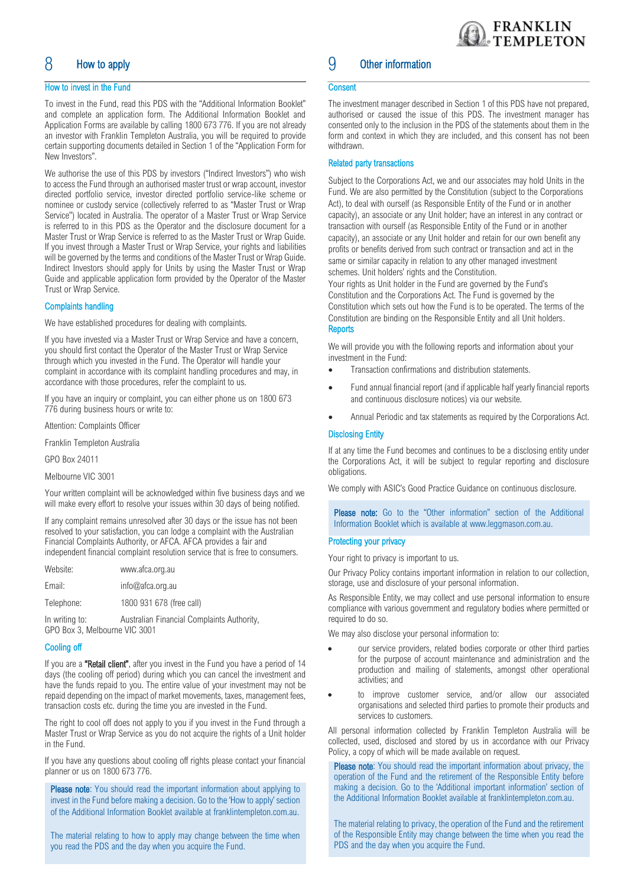## 8 How to apply

#### How to invest in the Fund

To invest in the Fund, read this PDS with the "Additional Information Booklet" and complete an application form. The Additional Information Booklet and Application Forms are available by calling 1800 673 776. If you are not already an investor with Franklin Templeton Australia, you will be required to provide certain supporting documents detailed in Section 1 of the "Application Form for New Investors".

We authorise the use of this PDS by investors ("Indirect Investors") who wish to access the Fund through an authorised master trust or wrap account, investor directed portfolio service, investor directed portfolio service-like scheme or nominee or custody service (collectively referred to as "Master Trust or Wrap Service") located in Australia. The operator of a Master Trust or Wrap Service is referred to in this PDS as the Operator and the disclosure document for a Master Trust or Wrap Service is referred to as the Master Trust or Wrap Guide. If you invest through a Master Trust or Wrap Service, your rights and liabilities will be governed by the terms and conditions of the Master Trust or Wrap Guide. Indirect Investors should apply for Units by using the Master Trust or Wrap Guide and applicable application form provided by the Operator of the Master Trust or Wrap Service.

#### Complaints handling

We have established procedures for dealing with complaints.

If you have invested via a Master Trust or Wrap Service and have a concern, you should first contact the Operator of the Master Trust or Wrap Service through which you invested in the Fund. The Operator will handle your complaint in accordance with its complaint handling procedures and may, in accordance with those procedures, refer the complaint to us.

If you have an inquiry or complaint, you can either phone us on 1800 673 776 during business hours or write to:

Attention: Complaints Officer

Franklin Templeton Australia

GPO Box 24011

Melbourne VIC 3001

Your written complaint will be acknowledged within five business days and we will make every effort to resolve your issues within 30 days of being notified.

If any complaint remains unresolved after 30 days or the issue has not been resolved to your satisfaction, you can lodge a complaint with the Australian Financial Complaints Authority, or AFCA. AFCA provides a fair and independent financial complaint resolution service that is free to consumers.

| Website:       | www.afca.org.au             |
|----------------|-----------------------------|
| Email:         | info@afca.org.au            |
| Telephone:     | 1800 931 678 (free call)    |
| In writing to: | Australian Einannial Comple |

In writing to: Australian Financial Complaints Authority, GPO Box 3, Melbourne VIC 3001

#### Cooling off

If you are a "Retail client", after you invest in the Fund you have a period of 14 days (the cooling off period) during which you can cancel the investment and have the funds repaid to you. The entire value of your investment may not be repaid depending on the impact of market movements, taxes, management fees, transaction costs etc. during the time you are invested in the Fund.

The right to cool off does not apply to you if you invest in the Fund through a Master Trust or Wrap Service as you do not acquire the rights of a Unit holder in the Fund.

If you have any questions about cooling off rights please contact your financial planner or us on 1800 673 776.

Please note: You should read the important information about applying to invest in the Fund before making a decision. Go to the 'How to apply' section of the Additional Information Booklet available a[t franklintempleton.com.au.](http://www.leggmason.com.au/en/index.aspx)

The material relating to how to apply may change between the time when you read the PDS and the day when you acquire the Fund.

## 9 Other information

#### **Consent**

The investment manager described in Section 1 of this PDS have not prepared, authorised or caused the issue of this PDS. The investment manager has consented only to the inclusion in the PDS of the statements about them in the form and context in which they are included, and this consent has not been withdrawn.

#### Related party transactions

Subject to the Corporations Act, we and our associates may hold Units in the Fund. We are also permitted by the Constitution (subject to the Corporations Act), to deal with ourself (as Responsible Entity of the Fund or in another capacity), an associate or any Unit holder; have an interest in any contract or transaction with ourself (as Responsible Entity of the Fund or in another capacity), an associate or any Unit holder and retain for our own benefit any profits or benefits derived from such contract or transaction and act in the same or similar capacity in relation to any other managed investment schemes. Unit holders' rights and the Constitution.

Your rights as Unit holder in the Fund are governed by the Fund's Constitution and the Corporations Act. The Fund is governed by the Constitution which sets out how the Fund is to be operated. The terms of the Constitution are binding on the Responsible Entity and all Unit holders. **Reports** 

We will provide you with the following reports and information about your investment in the Fund:

- Transaction confirmations and distribution statements.
- Fund annual financial report (and if applicable half yearly financial reports and continuous disclosure notices) via our website.
- Annual Periodic and tax statements as required by the Corporations Act.

#### Disclosing Entity

If at any time the Fund becomes and continues to be a disclosing entity under the Corporations Act, it will be subject to regular reporting and disclosure obligations.

We comply with ASIC's Good Practice Guidance on continuous disclosure.

Please note: Go to the "Other information" section of the Additional Information Booklet which is available at [www.leggmason.com.au.](http://www.leggmason.com.au/)

#### Protecting your privacy

Your right to privacy is important to us.

Our Privacy Policy contains important information in relation to our collection, storage, use and disclosure of your personal information.

As Responsible Entity, we may collect and use personal information to ensure compliance with various government and regulatory bodies where permitted or required to do so.

We may also disclose your personal information to:

- our service providers, related bodies corporate or other third parties for the purpose of account maintenance and administration and the production and mailing of statements, amongst other operational activities; and
- to improve customer service, and/or allow our associated organisations and selected third parties to promote their products and services to customers.

All personal information collected by Franklin Templeton Australia will be collected, used, disclosed and stored by us in accordance with our Privacy Policy, a copy of which will be made available on request.

Please note: You should read the important information about privacy, the operation of the Fund and the retirement of the Responsible Entity before making a decision. Go to the 'Additional important information' section of the Additional Information Booklet available a[t franklintempleton.com.au.](http://www.leggmason.com.au/en/index.aspx)

The material relating to privacy, the operation of the Fund and the retirement of the Responsible Entity may change between the time when you read the PDS and the day when you acquire the Fund.